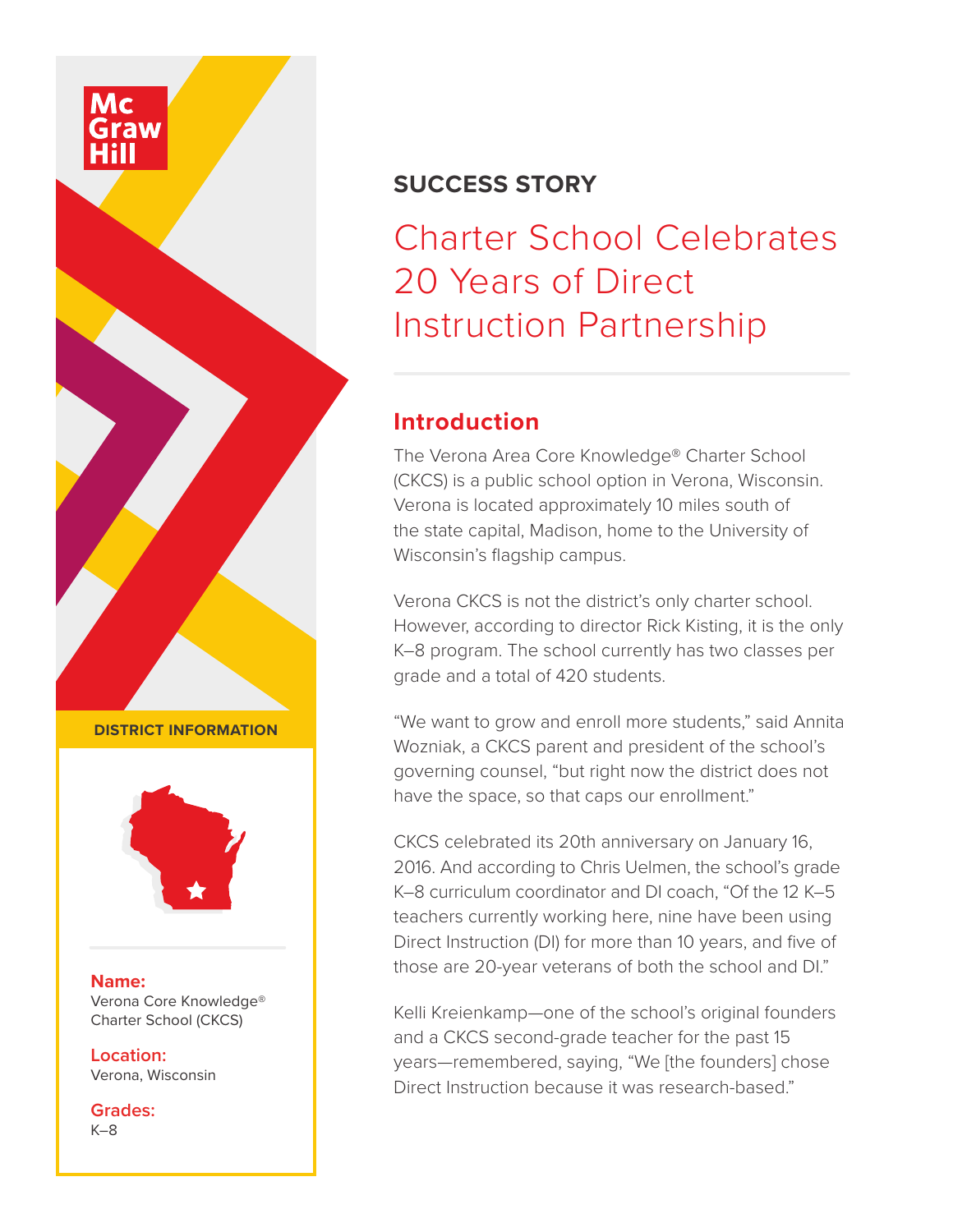



Charter School Celebrates 20 Years of Direct Instruction Partnership

# **Introduction**

The Verona Area Core Knowledge® Charter School (CKCS) is a public school option in Verona, Wisconsin. Verona is located approximately 10 miles south of the state capital, Madison, home to the University of Wisconsin's flagship campus.

Verona CKCS is not the district's only charter school. However, according to director Rick Kisting, it is the only K–8 program. The school currently has two classes per grade and a total of 420 students.

"We want to grow and enroll more students," said Annita Wozniak, a CKCS parent and president of the school's governing counsel, "but right now the district does not have the space, so that caps our enrollment."

CKCS celebrated its 20th anniversary on January 16, 2016. And according to Chris Uelmen, the school's grade K–8 curriculum coordinator and DI coach, "Of the 12 K–5 teachers currently working here, nine have been using Direct Instruction (DI) for more than 10 years, and five of those are 20-year veterans of both the school and DI."

Kelli Kreienkamp—one of the school's original founders and a CKCS second-grade teacher for the past 15 years—remembered, saying, "We [the founders] chose Direct Instruction because it was research-based."

**DISTRICT INFORMATION**



#### **Name:**

Verona Core Knowledge® Charter School (CKCS)

**Location:** Verona, Wisconsin

**Grades:** K–8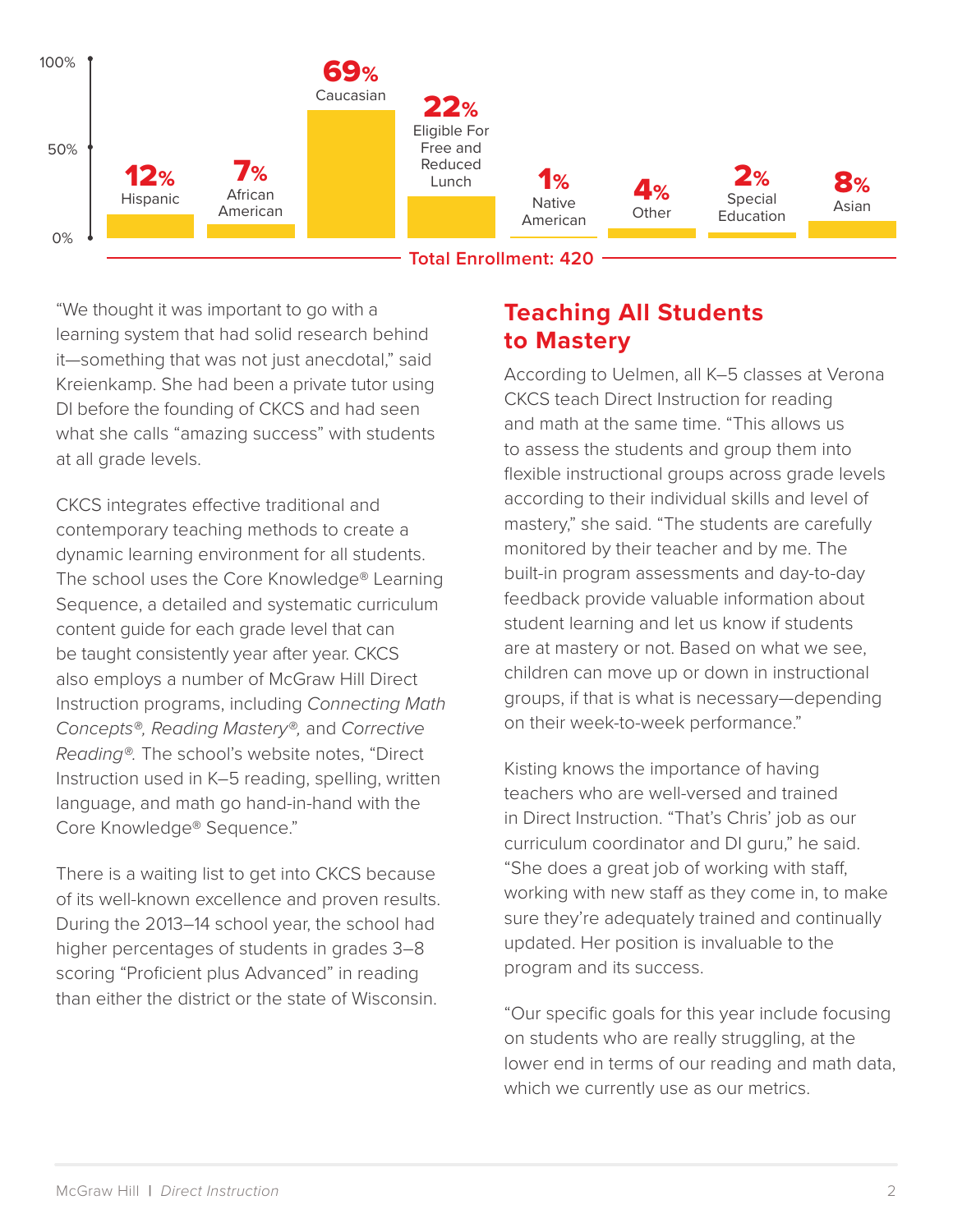

"We thought it was important to go with a learning system that had solid research behind it—something that was not just anecdotal," said Kreienkamp. She had been a private tutor using DI before the founding of CKCS and had seen what she calls "amazing success" with students at all grade levels.

CKCS integrates effective traditional and contemporary teaching methods to create a dynamic learning environment for all students. The school uses the Core Knowledge® Learning Sequence, a detailed and systematic curriculum content guide for each grade level that can be taught consistently year after year. CKCS also employs a number of McGraw Hill Direct Instruction programs, including *Connecting Math Concepts®, Reading Mastery®,* and *Corrective Reading®.* The school's website notes, "Direct Instruction used in K–5 reading, spelling, written language, and math go hand-in-hand with the Core Knowledge® Sequence."

There is a waiting list to get into CKCS because of its well-known excellence and proven results. During the 2013–14 school year, the school had higher percentages of students in grades 3–8 scoring "Proficient plus Advanced" in reading than either the district or the state of Wisconsin.

## **Teaching All Students to Mastery**

According to Uelmen, all K–5 classes at Verona CKCS teach Direct Instruction for reading and math at the same time. "This allows us to assess the students and group them into flexible instructional groups across grade levels according to their individual skills and level of mastery," she said. "The students are carefully monitored by their teacher and by me. The built-in program assessments and day-to-day feedback provide valuable information about student learning and let us know if students are at mastery or not. Based on what we see, children can move up or down in instructional groups, if that is what is necessary—depending on their week-to-week performance."

Kisting knows the importance of having teachers who are well-versed and trained in Direct Instruction. "That's Chris' job as our curriculum coordinator and DI guru," he said. "She does a great job of working with staff, working with new staff as they come in, to make sure they're adequately trained and continually updated. Her position is invaluable to the program and its success.

"Our specific goals for this year include focusing on students who are really struggling, at the lower end in terms of our reading and math data, which we currently use as our metrics.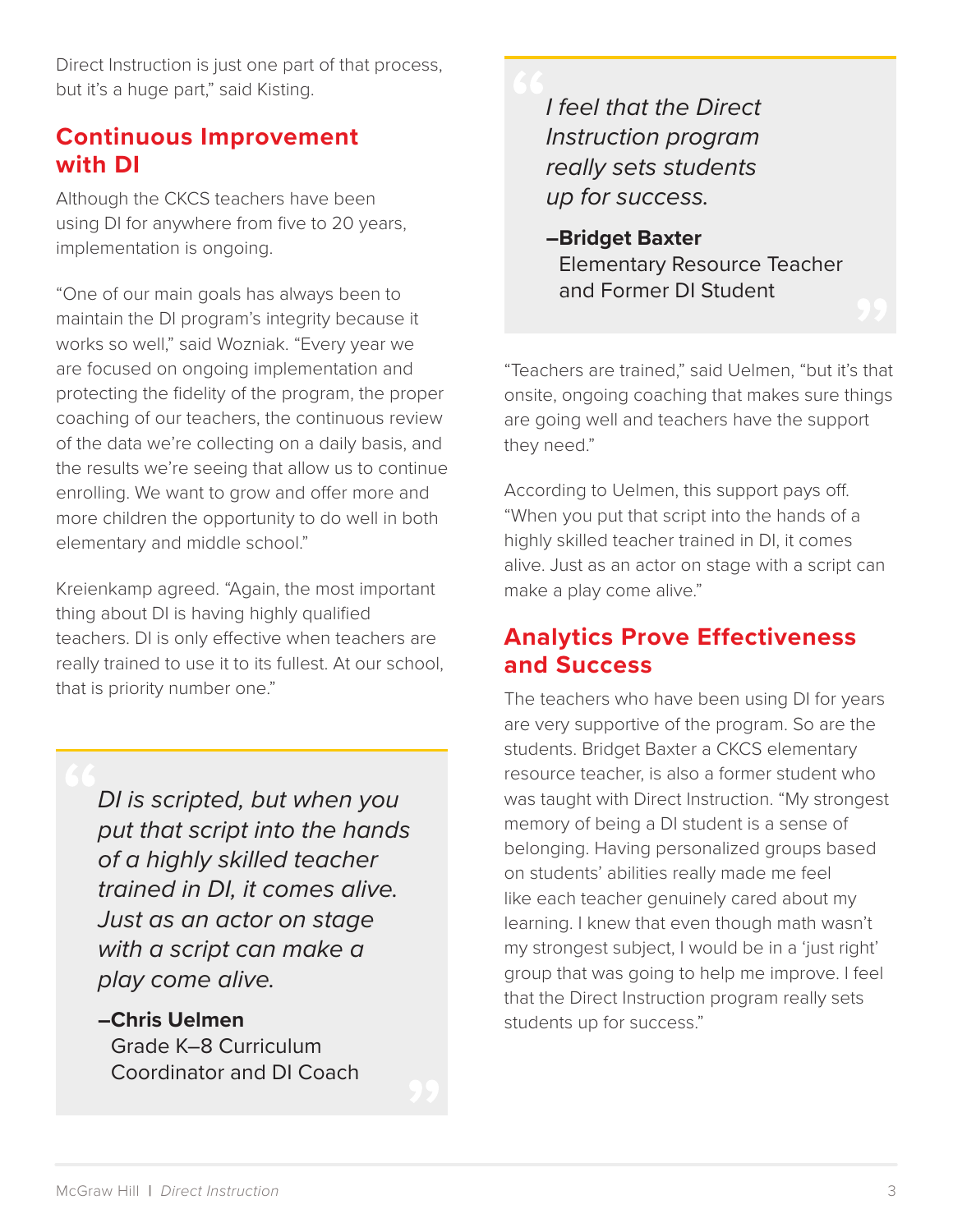Direct Instruction is just one part of that process, but it's a huge part," said Kisting.

### **Continuous Improvement with DI**

Although the CKCS teachers have been using DI for anywhere from five to 20 years, implementation is ongoing.

"One of our main goals has always been to maintain the DI program's integrity because it works so well," said Wozniak. "Every year we are focused on ongoing implementation and protecting the fidelity of the program, the proper coaching of our teachers, the continuous review of the data we're collecting on a daily basis, and the results we're seeing that allow us to continue enrolling. We want to grow and offer more and more children the opportunity to do well in both elementary and middle school."

Kreienkamp agreed. "Again, the most important thing about DI is having highly qualified teachers. DI is only effective when teachers are really trained to use it to its fullest. At our school, that is priority number one."

> *DI is scripted, but when you put that script into the hands of a highly skilled teacher trained in DI, it comes alive. Just as an actor on stage with a script can make a play come alive.*

**–Chris Uelmen** Grade K–8 Curriculum Coordinator and DI Coach

*I feel that the Direct Instruction program really sets students up for success.*

**–Bridget Baxter** Elementary Resource Teacher and Former DI Student

"Teachers are trained," said Uelmen, "but it's that onsite, ongoing coaching that makes sure things are going well and teachers have the support they need."

According to Uelmen, this support pays off. "When you put that script into the hands of a highly skilled teacher trained in DI, it comes alive. Just as an actor on stage with a script can make a play come alive."

# **Analytics Prove Effectiveness and Success**

The teachers who have been using DI for years are very supportive of the program. So are the students. Bridget Baxter a CKCS elementary resource teacher, is also a former student who was taught with Direct Instruction. "My strongest memory of being a DI student is a sense of belonging. Having personalized groups based on students' abilities really made me feel like each teacher genuinely cared about my learning. I knew that even though math wasn't my strongest subject, I would be in a 'just right' group that was going to help me improve. I feel that the Direct Instruction program really sets students up for success."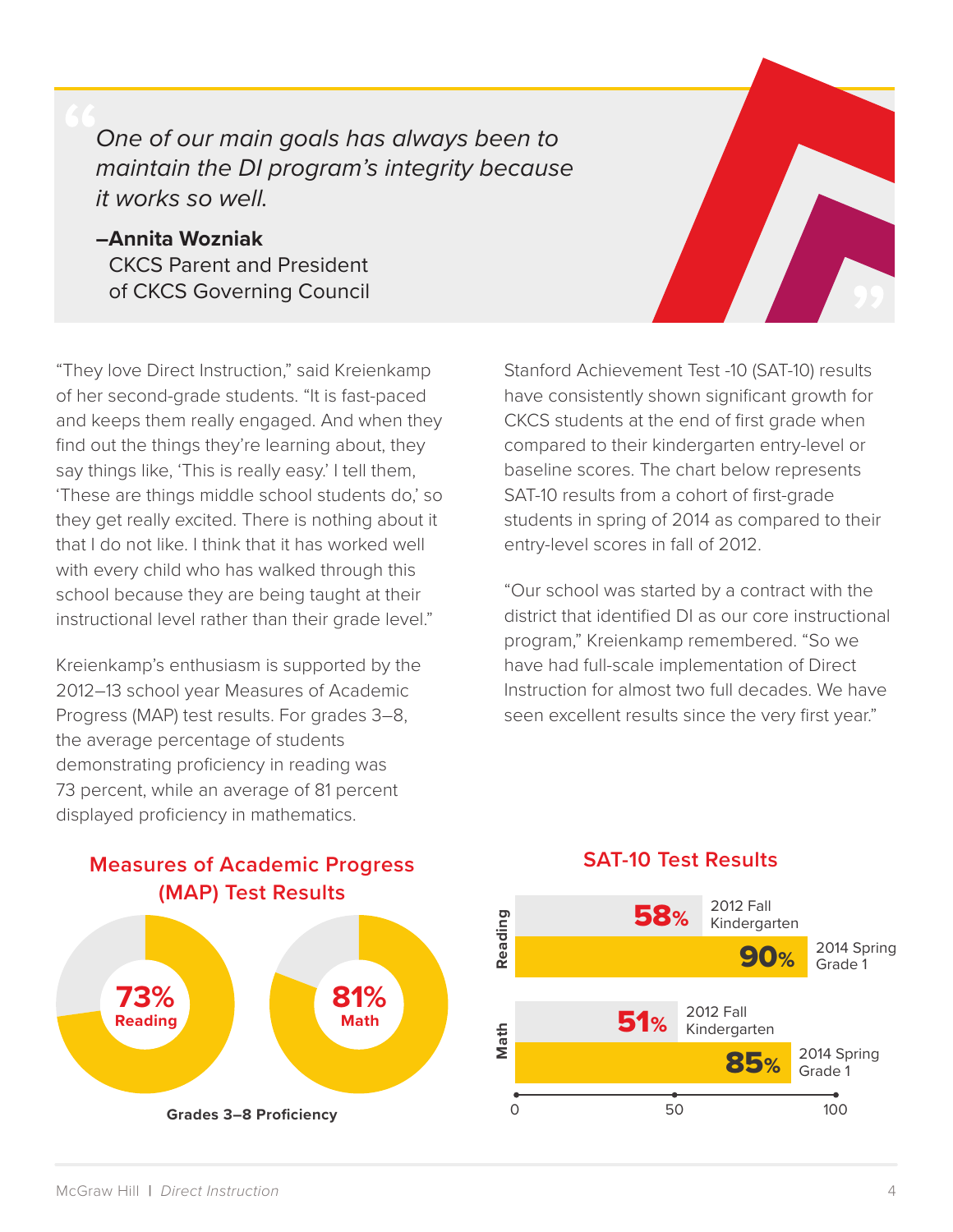*One of our main goals has always been to maintain the DI program's integrity because it works so well.*

**–Annita Wozniak** CKCS Parent and President of CKCS Governing Council

"They love Direct Instruction," said Kreienkamp of her second-grade students. "It is fast-paced and keeps them really engaged. And when they find out the things they're learning about, they say things like, 'This is really easy.' I tell them, 'These are things middle school students do,' so they get really excited. There is nothing about it that I do not like. I think that it has worked well with every child who has walked through this school because they are being taught at their instructional level rather than their grade level."

Kreienkamp's enthusiasm is supported by the 2012–13 school year Measures of Academic Progress (MAP) test results. For grades 3–8, the average percentage of students demonstrating proficiency in reading was 73 percent, while an average of 81 percent displayed proficiency in mathematics.

Stanford Achievement Test -10 (SAT-10) results have consistently shown significant growth for CKCS students at the end of first grade when compared to their kindergarten entry-level or baseline scores. The chart below represents SAT-10 results from a cohort of first-grade students in spring of 2014 as compared to their entry-level scores in fall of 2012.

"Our school was started by a contract with the district that identified DI as our core instructional program," Kreienkamp remembered. "So we have had full-scale implementation of Direct Instruction for almost two full decades. We have seen excellent results since the very first year."



### **Measures of Academic Progress (MAP) Test Results**

### **SAT-10 Test Results**